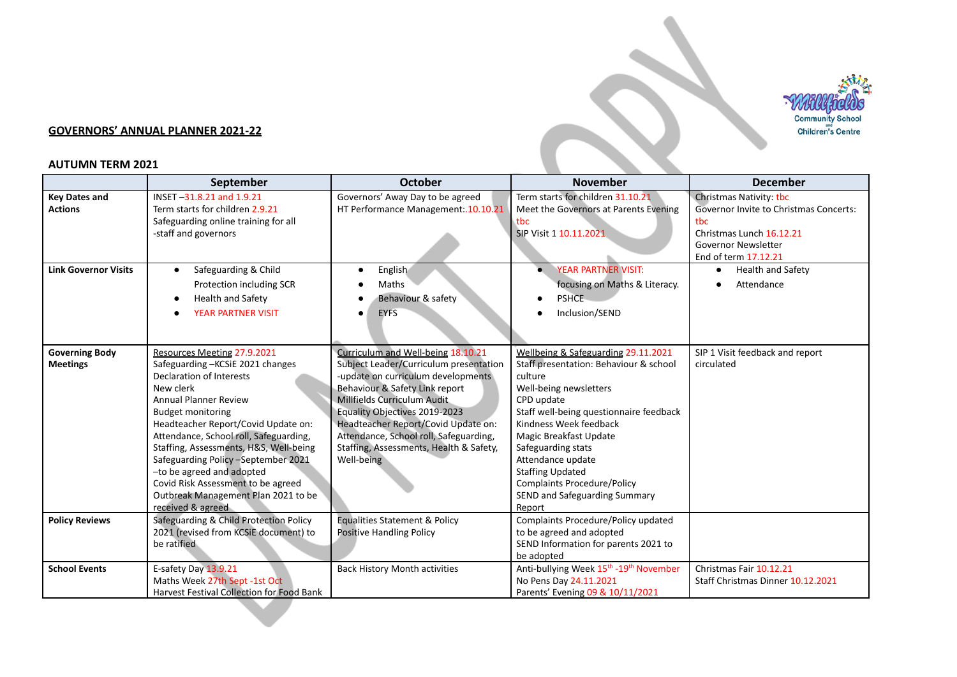

## **GOVERNORS' ANNUAL PLANNER 2021-22**

## **AUTUMN TERM 2021**

|                                          | September                                                                                                                                                                                                                                                                                                                                                                                                                                                                   | <b>October</b>                                                                                                                                                                                                                                                                                                                                                 | <b>November</b>                                                                                                                                                                                                                                                                                                                                                                        | <b>December</b>                                                                                                                                                          |
|------------------------------------------|-----------------------------------------------------------------------------------------------------------------------------------------------------------------------------------------------------------------------------------------------------------------------------------------------------------------------------------------------------------------------------------------------------------------------------------------------------------------------------|----------------------------------------------------------------------------------------------------------------------------------------------------------------------------------------------------------------------------------------------------------------------------------------------------------------------------------------------------------------|----------------------------------------------------------------------------------------------------------------------------------------------------------------------------------------------------------------------------------------------------------------------------------------------------------------------------------------------------------------------------------------|--------------------------------------------------------------------------------------------------------------------------------------------------------------------------|
| <b>Key Dates and</b><br><b>Actions</b>   | INSET-31.8.21 and 1.9.21<br>Term starts for children 2.9.21<br>Safeguarding online training for all<br>-staff and governors                                                                                                                                                                                                                                                                                                                                                 | Governors' Away Day to be agreed<br>HT Performance Management:.10.10.21                                                                                                                                                                                                                                                                                        | Term starts for children 31.10.21<br>Meet the Governors at Parents Evening<br>tbc<br>SIP Visit 1 10.11.2021                                                                                                                                                                                                                                                                            | <b>Christmas Nativity: tbc</b><br><b>Governor Invite to Christmas Concerts:</b><br>tbc<br>Christmas Lunch 16.12.21<br><b>Governor Newsletter</b><br>End of term 17.12.21 |
| <b>Link Governor Visits</b>              | Safeguarding & Child<br>$\bullet$<br>Protection including SCR<br><b>Health and Safety</b><br><b>YEAR PARTNER VISIT</b>                                                                                                                                                                                                                                                                                                                                                      | English<br>$\bullet$<br>Maths<br>Behaviour & safety<br><b>EYFS</b><br>$\bullet$                                                                                                                                                                                                                                                                                | YEAR PARTNER VISIT:<br>focusing on Maths & Literacy.<br><b>PSHCE</b><br>Inclusion/SEND                                                                                                                                                                                                                                                                                                 | <b>Health and Safety</b><br>$\bullet$<br>Attendance                                                                                                                      |
| <b>Governing Body</b><br><b>Meetings</b> | Resources Meeting 27.9.2021<br>Safeguarding-KCSiE 2021 changes<br><b>Declaration of Interests</b><br>New clerk<br><b>Annual Planner Review</b><br><b>Budget monitoring</b><br>Headteacher Report/Covid Update on:<br>Attendance, School roll, Safeguarding,<br>Staffing, Assessments, H&S, Well-being<br>Safeguarding Policy -September 2021<br>-to be agreed and adopted<br>Covid Risk Assessment to be agreed<br>Outbreak Management Plan 2021 to be<br>received & agreed | Curriculum and Well-being 18.10.21<br>Subject Leader/Curriculum presentation<br>-update on curriculum developments<br>Behaviour & Safety Link report<br>Millfields Curriculum Audit<br>Equality Objectives 2019-2023<br>Headteacher Report/Covid Update on:<br>Attendance, School roll, Safeguarding,<br>Staffing, Assessments, Health & Safety,<br>Well-being | Wellbeing & Safeguarding 29.11.2021<br>Staff presentation: Behaviour & school<br>culture<br>Well-being newsletters<br>CPD update<br>Staff well-being questionnaire feedback<br>Kindness Week feedback<br>Magic Breakfast Update<br>Safeguarding stats<br>Attendance update<br><b>Staffing Updated</b><br><b>Complaints Procedure/Policy</b><br>SEND and Safeguarding Summary<br>Report | SIP 1 Visit feedback and report<br>circulated                                                                                                                            |
| <b>Policy Reviews</b>                    | Safeguarding & Child Protection Policy<br>2021 (revised from KCSiE document) to<br>be ratified                                                                                                                                                                                                                                                                                                                                                                              | <b>Equalities Statement &amp; Policy</b><br>Positive Handling Policy                                                                                                                                                                                                                                                                                           | Complaints Procedure/Policy updated<br>to be agreed and adopted<br>SEND Information for parents 2021 to<br>be adopted                                                                                                                                                                                                                                                                  |                                                                                                                                                                          |
| <b>School Events</b>                     | E-safety Day 13.9.21<br>Maths Week 27th Sept -1st Oct<br><b>Harvest Festival Collection for Food Bank</b>                                                                                                                                                                                                                                                                                                                                                                   | <b>Back History Month activities</b>                                                                                                                                                                                                                                                                                                                           | Anti-bullying Week 15 <sup>th</sup> -19 <sup>th</sup> November<br>No Pens Day 24.11.2021<br>Parents' Evening 09 & 10/11/2021                                                                                                                                                                                                                                                           | Christmas Fair 10.12.21<br>Staff Christmas Dinner 10.12.2021                                                                                                             |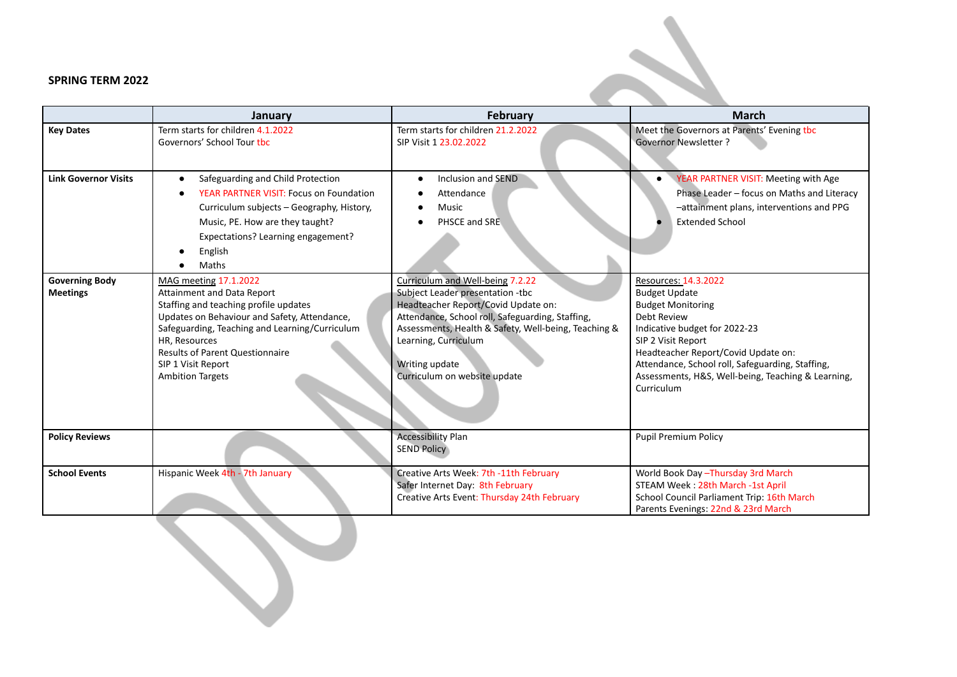## **SPRING TERM 2022**

|                                          | January                                                                                                                                                                                                                                                                                                           | <b>February</b>                                                                                                                                                                                                                                                                                   | <b>March</b>                                                                                                                                                                                                                                                                                                  |
|------------------------------------------|-------------------------------------------------------------------------------------------------------------------------------------------------------------------------------------------------------------------------------------------------------------------------------------------------------------------|---------------------------------------------------------------------------------------------------------------------------------------------------------------------------------------------------------------------------------------------------------------------------------------------------|---------------------------------------------------------------------------------------------------------------------------------------------------------------------------------------------------------------------------------------------------------------------------------------------------------------|
| <b>Key Dates</b>                         | Term starts for children 4.1.2022<br>Governors' School Tour tbc                                                                                                                                                                                                                                                   | Term starts for children 21.2.2022<br>SIP Visit 1 23.02.2022                                                                                                                                                                                                                                      | Meet the Governors at Parents' Evening tbc<br><b>Governor Newsletter?</b>                                                                                                                                                                                                                                     |
| <b>Link Governor Visits</b>              | Safeguarding and Child Protection<br>YEAR PARTNER VISIT: Focus on Foundation<br>Curriculum subjects - Geography, History,<br>Music, PE. How are they taught?<br>Expectations? Learning engagement?<br>English<br>Maths                                                                                            | Inclusion and SEND<br>Attendance<br><b>Music</b><br>PHSCE and SRE                                                                                                                                                                                                                                 | YEAR PARTNER VISIT: Meeting with Age<br>Phase Leader - focus on Maths and Literacy<br>-attainment plans, interventions and PPG<br><b>Extended School</b>                                                                                                                                                      |
| <b>Governing Body</b><br><b>Meetings</b> | <b>MAG meeting 17.1.2022</b><br>Attainment and Data Report<br>Staffing and teaching profile updates<br>Updates on Behaviour and Safety, Attendance,<br>Safeguarding, Teaching and Learning/Curriculum<br>HR. Resources<br><b>Results of Parent Questionnaire</b><br>SIP 1 Visit Report<br><b>Ambition Targets</b> | Curriculum and Well-being 7.2.22<br>Subject Leader presentation -tbc<br>Headteacher Report/Covid Update on:<br>Attendance, School roll, Safeguarding, Staffing,<br>Assessments, Health & Safety, Well-being, Teaching &<br>Learning, Curriculum<br>Writing update<br>Curriculum on website update | Resources: 14.3.2022<br><b>Budget Update</b><br><b>Budget Monitoring</b><br>Debt Review<br>Indicative budget for 2022-23<br>SIP 2 Visit Report<br>Headteacher Report/Covid Update on:<br>Attendance, School roll, Safeguarding, Staffing,<br>Assessments, H&S, Well-being, Teaching & Learning,<br>Curriculum |
| <b>Policy Reviews</b>                    |                                                                                                                                                                                                                                                                                                                   | <b>Accessibility Plan</b><br><b>SEND Policy</b>                                                                                                                                                                                                                                                   | <b>Pupil Premium Policy</b>                                                                                                                                                                                                                                                                                   |
| <b>School Events</b>                     | Hispanic Week 4th - 7th January                                                                                                                                                                                                                                                                                   | Creative Arts Week: 7th -11th February<br>Safer Internet Day: 8th February<br>Creative Arts Event: Thursday 24th February                                                                                                                                                                         | World Book Day - Thursday 3rd March<br>STEAM Week: 28th March -1st April<br>School Council Parliament Trip: 16th March<br>Parents Evenings: 22nd & 23rd March                                                                                                                                                 |